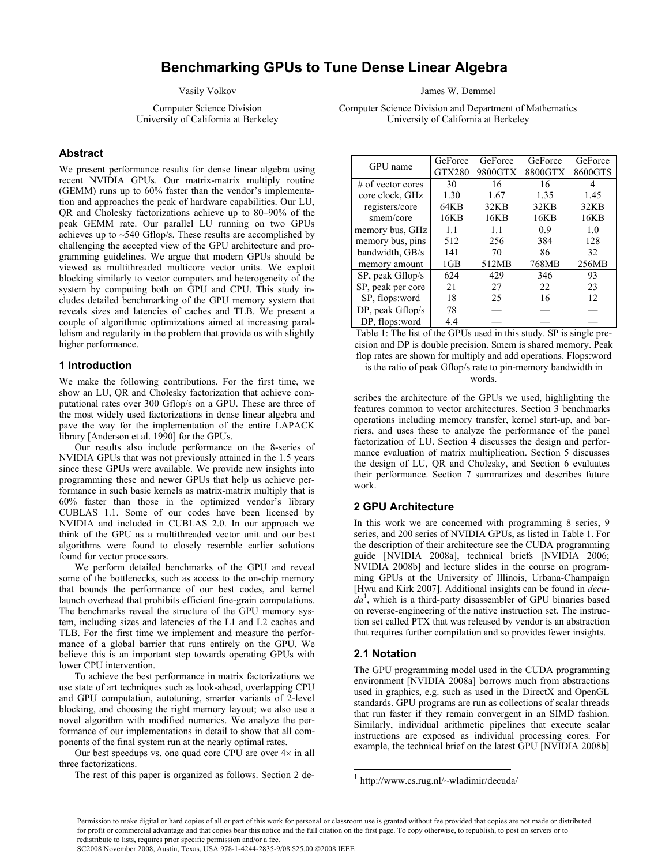# **Benchmarking GPUs to Tune Dense Linear Algebra**

Vasily Volkov

Computer Science Division University of California at Berkeley

# **Abstract**

We present performance results for dense linear algebra using recent NVIDIA GPUs. Our matrix-matrix multiply routine (GEMM) runs up to 60% faster than the vendor's implementation and approaches the peak of hardware capabilities. Our LU, QR and Cholesky factorizations achieve up to 80–90% of the peak GEMM rate. Our parallel LU running on two GPUs achieves up to ~540 Gflop/s. These results are accomplished by challenging the accepted view of the GPU architecture and programming guidelines. We argue that modern GPUs should be viewed as multithreaded multicore vector units. We exploit blocking similarly to vector computers and heterogeneity of the system by computing both on GPU and CPU. This study includes detailed benchmarking of the GPU memory system that reveals sizes and latencies of caches and TLB. We present a couple of algorithmic optimizations aimed at increasing parallelism and regularity in the problem that provide us with slightly higher performance.

# **1 Introduction**

We make the following contributions. For the first time, we show an LU, QR and Cholesky factorization that achieve computational rates over 300 Gflop/s on a GPU. These are three of the most widely used factorizations in dense linear algebra and pave the way for the implementation of the entire LAPACK library [Anderson et al. 1990] for the GPUs.

Our results also include performance on the 8-series of NVIDIA GPUs that was not previously attained in the 1.5 years since these GPUs were available. We provide new insights into programming these and newer GPUs that help us achieve performance in such basic kernels as matrix-matrix multiply that is 60% faster than those in the optimized vendor's library CUBLAS 1.1. Some of our codes have been licensed by NVIDIA and included in CUBLAS 2.0. In our approach we think of the GPU as a multithreaded vector unit and our best algorithms were found to closely resemble earlier solutions found for vector processors.

We perform detailed benchmarks of the GPU and reveal some of the bottlenecks, such as access to the on-chip memory that bounds the performance of our best codes, and kernel launch overhead that prohibits efficient fine-grain computations. The benchmarks reveal the structure of the GPU memory system, including sizes and latencies of the L1 and L2 caches and TLB. For the first time we implement and measure the performance of a global barrier that runs entirely on the GPU. We believe this is an important step towards operating GPUs with lower CPU intervention.

To achieve the best performance in matrix factorizations we use state of art techniques such as look-ahead, overlapping CPU and GPU computation, autotuning, smarter variants of 2-level blocking, and choosing the right memory layout; we also use a novel algorithm with modified numerics. We analyze the performance of our implementations in detail to show that all components of the final system run at the nearly optimal rates.

Our best speedups vs. one quad core CPU are over  $4 \times$  in all three factorizations.

The rest of this paper is organized as follows. Section 2 de-

James W. Demmel

Computer Science Division and Department of Mathematics University of California at Berkeley

| GPU name            | GeForce         | GeForce | GeForce | GeForce |
|---------------------|-----------------|---------|---------|---------|
|                     | GTX280          | 9800GTX | 8800GTX | 8600GTS |
| $#$ of vector cores | 30              | 16      | 16      | 4       |
| core clock, GHz     | 1.30            | 1.67    | 1.35    | 1.45    |
| registers/core      | 64KB            | 32KB    | 32KB    | 32KB    |
| smem/core           | 16KB            | 16KB    | 16KB    | 16KB    |
| memory bus, GHz     | 11              | 11      | 09      | 1.0     |
| memory bus, pins    | 512             | 256     | 384     | 128     |
| bandwidth, GB/s     | 141             | 70      | 86      | 32      |
| memory amount       | 1 <sub>GB</sub> | 512MB   | 768MB   | 256MB   |
| SP, peak Gflop/s    | 624             | 429     | 346     | 93      |
| SP, peak per core   | 21              | 27      | 22.     | 23      |
| SP, flops:word      | 18              | 25      | 16      | 12      |
| DP, peak Gflop/s    | 78              |         |         |         |
| DP, flops:word      | 4.4             |         |         |         |

Table 1: The list of the GPUs used in this study. SP is single precision and DP is double precision. Smem is shared memory. Peak flop rates are shown for multiply and add operations. Flops:word is the ratio of peak Gflop/s rate to pin-memory bandwidth in words.

scribes the architecture of the GPUs we used, highlighting the features common to vector architectures. Section 3 benchmarks operations including memory transfer, kernel start-up, and barriers, and uses these to analyze the performance of the panel factorization of LU. Section 4 discusses the design and performance evaluation of matrix multiplication. Section 5 discusses the design of LU, QR and Cholesky, and Section 6 evaluates their performance. Section 7 summarizes and describes future work.

# **2 GPU Architecture**

In this work we are concerned with programming 8 series, 9 series, and 200 series of NVIDIA GPUs, as listed in Table 1. For the description of their architecture see the CUDA programming guide [NVIDIA 2008a], technical briefs [NVIDIA 2006; NVIDIA 2008b] and lecture slides in the course on programming GPUs at the University of Illinois, Urbana-Champaign [Hwu and Kirk 2007]. Additional insights can be found in *decuda*<sup>1</sup> , which is a third-party disassembler of GPU binaries based on reverse-engineering of the native instruction set. The instruction set called PTX that was released by vendor is an abstraction that requires further compilation and so provides fewer insights.

# **2.1 Notation**

The GPU programming model used in the CUDA programming environment [NVIDIA 2008a] borrows much from abstractions used in graphics, e.g. such as used in the DirectX and OpenGL standards. GPU programs are run as collections of scalar threads that run faster if they remain convergent in an SIMD fashion. Similarly, individual arithmetic pipelines that execute scalar instructions are exposed as individual processing cores. For example, the technical brief on the latest GPU [NVIDIA 2008b]

Permission to make digital or hard copies of all or part of this work for personal or classroom use is granted without fee provided that copies are not made or distributed for profit or commercial advantage and that copies bear this notice and the full citation on the first page. To copy otherwise, to republish, to post on servers or to redistribute to lists, requires prior specific permission and/or a fee.

SC2008 November 2008, Austin, Texas, USA 978-1-4244-2835-9/08 \$25.00 ©2008 IEEE

 $\overline{1}$ <sup>1</sup> http://www.cs.rug.nl/~wladimir/decuda/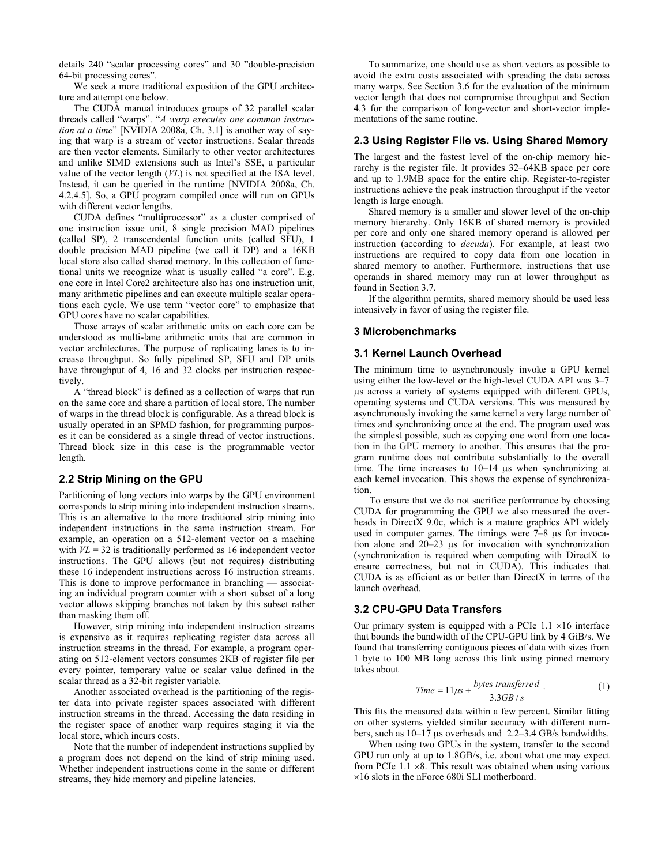details 240 "scalar processing cores" and 30 "double-precision 64-bit processing cores".

We seek a more traditional exposition of the GPU architecture and attempt one below.

The CUDA manual introduces groups of 32 parallel scalar threads called "warps". "*A warp executes one common instruction at a time*" [NVIDIA 2008a, Ch. 3.1] is another way of saying that warp is a stream of vector instructions. Scalar threads are then vector elements. Similarly to other vector architectures and unlike SIMD extensions such as Intel's SSE, a particular value of the vector length (*VL*) is not specified at the ISA level. Instead, it can be queried in the runtime [NVIDIA 2008a, Ch. 4.2.4.5]. So, a GPU program compiled once will run on GPUs with different vector lengths.

CUDA defines "multiprocessor" as a cluster comprised of one instruction issue unit, 8 single precision MAD pipelines (called SP), 2 transcendental function units (called SFU), 1 double precision MAD pipeline (we call it DP) and a 16KB local store also called shared memory. In this collection of functional units we recognize what is usually called "a core". E.g. one core in Intel Core2 architecture also has one instruction unit, many arithmetic pipelines and can execute multiple scalar operations each cycle. We use term "vector core" to emphasize that GPU cores have no scalar capabilities.

Those arrays of scalar arithmetic units on each core can be understood as multi-lane arithmetic units that are common in vector architectures. The purpose of replicating lanes is to increase throughput. So fully pipelined SP, SFU and DP units have throughput of 4, 16 and 32 clocks per instruction respectively.

A "thread block" is defined as a collection of warps that run on the same core and share a partition of local store. The number of warps in the thread block is configurable. As a thread block is usually operated in an SPMD fashion, for programming purposes it can be considered as a single thread of vector instructions. Thread block size in this case is the programmable vector length.

## **2.2 Strip Mining on the GPU**

Partitioning of long vectors into warps by the GPU environment corresponds to strip mining into independent instruction streams. This is an alternative to the more traditional strip mining into independent instructions in the same instruction stream. For example, an operation on a 512-element vector on a machine with  $VL = 32$  is traditionally performed as 16 independent vector instructions. The GPU allows (but not requires) distributing these 16 independent instructions across 16 instruction streams. This is done to improve performance in branching — associating an individual program counter with a short subset of a long vector allows skipping branches not taken by this subset rather than masking them off.

However, strip mining into independent instruction streams is expensive as it requires replicating register data across all instruction streams in the thread. For example, a program operating on 512-element vectors consumes 2KB of register file per every pointer, temporary value or scalar value defined in the scalar thread as a 32-bit register variable.

Another associated overhead is the partitioning of the register data into private register spaces associated with different instruction streams in the thread. Accessing the data residing in the register space of another warp requires staging it via the local store, which incurs costs.

Note that the number of independent instructions supplied by a program does not depend on the kind of strip mining used. Whether independent instructions come in the same or different streams, they hide memory and pipeline latencies.

To summarize, one should use as short vectors as possible to avoid the extra costs associated with spreading the data across many warps. See Section 3.6 for the evaluation of the minimum vector length that does not compromise throughput and Section 4.3 for the comparison of long-vector and short-vector implementations of the same routine.

#### **2.3 Using Register File vs. Using Shared Memory**

The largest and the fastest level of the on-chip memory hierarchy is the register file. It provides 32–64KB space per core and up to 1.9MB space for the entire chip. Register-to-register instructions achieve the peak instruction throughput if the vector length is large enough.

Shared memory is a smaller and slower level of the on-chip memory hierarchy. Only 16KB of shared memory is provided per core and only one shared memory operand is allowed per instruction (according to *decuda*). For example, at least two instructions are required to copy data from one location in shared memory to another. Furthermore, instructions that use operands in shared memory may run at lower throughput as found in Section 3.7.

If the algorithm permits, shared memory should be used less intensively in favor of using the register file.

#### **3 Microbenchmarks**

## **3.1 Kernel Launch Overhead**

The minimum time to asynchronously invoke a GPU kernel using either the low-level or the high-level CUDA API was 3–7 µs across a variety of systems equipped with different GPUs, operating systems and CUDA versions. This was measured by asynchronously invoking the same kernel a very large number of times and synchronizing once at the end. The program used was the simplest possible, such as copying one word from one location in the GPU memory to another. This ensures that the program runtime does not contribute substantially to the overall time. The time increases to  $10-14$   $\mu$ s when synchronizing at each kernel invocation. This shows the expense of synchronization.

To ensure that we do not sacrifice performance by choosing CUDA for programming the GPU we also measured the overheads in DirectX 9.0c, which is a mature graphics API widely used in computer games. The timings were  $7-\overline{8}$  us for invocation alone and  $20-23$   $\mu$ s for invocation with synchronization (synchronization is required when computing with DirectX to ensure correctness, but not in CUDA). This indicates that CUDA is as efficient as or better than DirectX in terms of the launch overhead.

## **3.2 CPU-GPU Data Transfers**

Our primary system is equipped with a PCIe  $1.1 \times 16$  interface that bounds the bandwidth of the CPU-GPU link by 4 GiB/s. We found that transferring contiguous pieces of data with sizes from 1 byte to 100 MB long across this link using pinned memory takes about

$$
Time = 11\mu s + \frac{bytes\ transferred}{3.3GB/s} \tag{1}
$$

This fits the measured data within a few percent. Similar fitting on other systems yielded similar accuracy with different numbers, such as  $10-17$  µs overheads and  $2.2-3.4$  GB/s bandwidths.

When using two GPUs in the system, transfer to the second GPU run only at up to 1.8GB/s, i.e. about what one may expect from PCIe  $1.1 \times 8$ . This result was obtained when using various  $\times$ 16 slots in the nForce 680i SLI motherboard.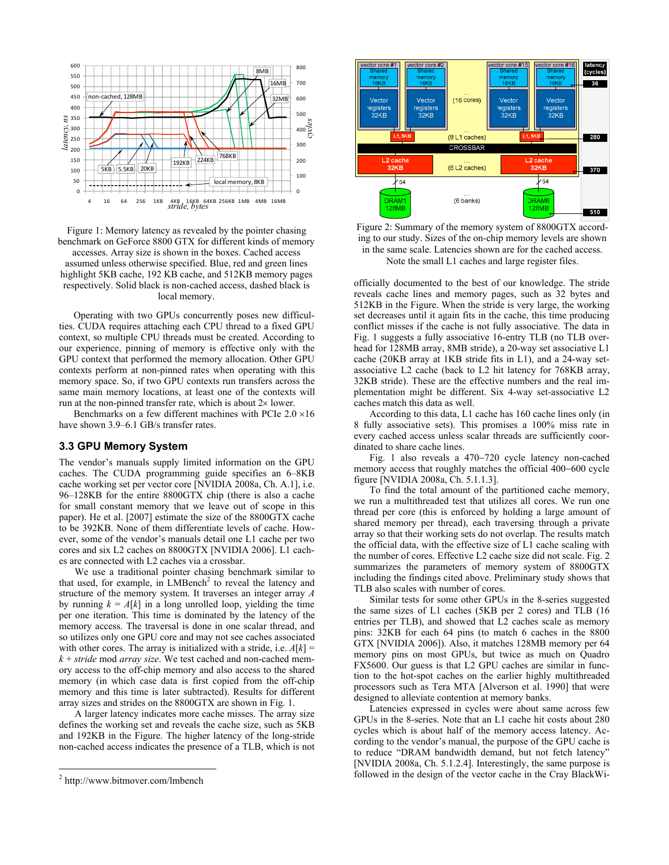

Figure 1: Memory latency as revealed by the pointer chasing benchmark on GeForce 8800 GTX for different kinds of memory accesses. Array size is shown in the boxes. Cached access assumed unless otherwise specified. Blue, red and green lines highlight 5KB cache, 192 KB cache, and 512KB memory pages respectively. Solid black is non-cached access, dashed black is local memory.

Operating with two GPUs concurrently poses new difficulties. CUDA requires attaching each CPU thread to a fixed GPU context, so multiple CPU threads must be created. According to our experience, pinning of memory is effective only with the GPU context that performed the memory allocation. Other GPU contexts perform at non-pinned rates when operating with this memory space. So, if two GPU contexts run transfers across the same main memory locations, at least one of the contexts will run at the non-pinned transfer rate, which is about  $2 \times$  lower.

Benchmarks on a few different machines with PCIe  $2.0 \times 16$ have shown 3.9–6.1 GB/s transfer rates.

#### **3.3 GPU Memory System**

The vendor's manuals supply limited information on the GPU caches. The CUDA programming guide specifies an 6–8KB cache working set per vector core [NVIDIA 2008a, Ch. A.1], i.e. 96–128KB for the entire 8800GTX chip (there is also a cache for small constant memory that we leave out of scope in this paper). He et al. [2007] estimate the size of the 8800GTX cache to be 392KB. None of them differentiate levels of cache. However, some of the vendor's manuals detail one L1 cache per two cores and six L2 caches on 8800GTX [NVIDIA 2006]. L1 caches are connected with L2 caches via a crossbar.

We use a traditional pointer chasing benchmark similar to that used, for example, in  $LMBench<sup>2</sup>$  to reveal the latency and structure of the memory system. It traverses an integer array *A* by running  $k = A[k]$  in a long unrolled loop, yielding the time per one iteration. This time is dominated by the latency of the memory access. The traversal is done in one scalar thread, and so utilizes only one GPU core and may not see caches associated with other cores. The array is initialized with a stride, i.e.  $A[k]$  = *k* + *stride* mod *array size*. We test cached and non-cached memory access to the off-chip memory and also access to the shared memory (in which case data is first copied from the off-chip memory and this time is later subtracted). Results for different array sizes and strides on the 8800GTX are shown in Fig. 1.

A larger latency indicates more cache misses. The array size defines the working set and reveals the cache size, such as 5KB and 192KB in the Figure. The higher latency of the long-stride non-cached access indicates the presence of a TLB, which is not

 $\overline{a}$ 



Figure 2: Summary of the memory system of 8800GTX according to our study. Sizes of the on-chip memory levels are shown in the same scale. Latencies shown are for the cached access. Note the small L1 caches and large register files.

officially documented to the best of our knowledge. The stride reveals cache lines and memory pages, such as 32 bytes and 512KB in the Figure. When the stride is very large, the working set decreases until it again fits in the cache, this time producing conflict misses if the cache is not fully associative. The data in Fig. 1 suggests a fully associative 16-entry TLB (no TLB overhead for 128MB array, 8MB stride), a 20-way set associative L1 cache (20KB array at 1KB stride fits in L1), and a 24-way setassociative L2 cache (back to L2 hit latency for 768KB array, 32KB stride). These are the effective numbers and the real implementation might be different. Six 4-way set-associative L2 caches match this data as well.

According to this data, L1 cache has 160 cache lines only (in 8 fully associative sets). This promises a 100% miss rate in every cached access unless scalar threads are sufficiently coordinated to share cache lines.

Fig. 1 also reveals a  $470-720$  cycle latency non-cached memory access that roughly matches the official 400-600 cycle figure [NVIDIA 2008a, Ch. 5.1.1.3].

To find the total amount of the partitioned cache memory, we run a multithreaded test that utilizes all cores. We run one thread per core (this is enforced by holding a large amount of shared memory per thread), each traversing through a private array so that their working sets do not overlap. The results match the official data, with the effective size of L1 cache scaling with the number of cores. Effective L2 cache size did not scale. Fig. 2 summarizes the parameters of memory system of 8800GTX including the findings cited above. Preliminary study shows that TLB also scales with number of cores.

Similar tests for some other GPUs in the 8-series suggested the same sizes of L1 caches (5KB per 2 cores) and TLB (16 entries per TLB), and showed that L2 caches scale as memory pins: 32KB for each 64 pins (to match 6 caches in the 8800 GTX [NVIDIA 2006]). Also, it matches 128MB memory per 64 memory pins on most GPUs, but twice as much on Quadro FX5600. Our guess is that L2 GPU caches are similar in function to the hot-spot caches on the earlier highly multithreaded processors such as Tera MTA [Alverson et al. 1990] that were designed to alleviate contention at memory banks.

Latencies expressed in cycles were about same across few GPUs in the 8-series. Note that an L1 cache hit costs about 280 cycles which is about half of the memory access latency. According to the vendor's manual, the purpose of the GPU cache is to reduce "DRAM bandwidth demand, but not fetch latency" [NVIDIA 2008a, Ch. 5.1.2.4]. Interestingly, the same purpose is followed in the design of the vector cache in the Cray BlackWi-

<sup>2</sup> http://www.bitmover.com/lmbench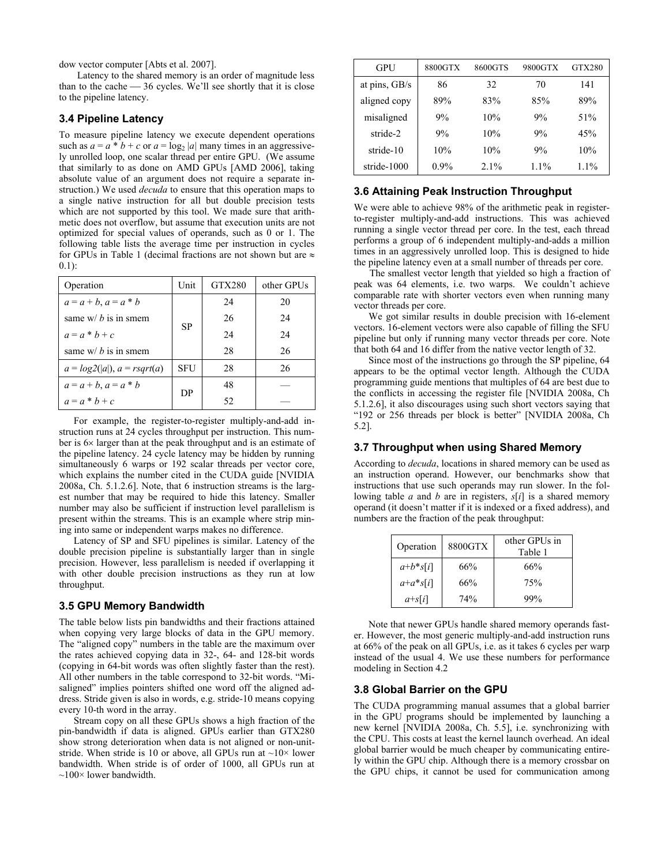dow vector computer [Abts et al. 2007].

 Latency to the shared memory is an order of magnitude less than to the cache  $-36$  cycles. We'll see shortly that it is close to the pipeline latency.

# **3.4 Pipeline Latency**

To measure pipeline latency we execute dependent operations such as  $a = a * b + c$  or  $a = \log_2 |a|$  many times in an aggressively unrolled loop, one scalar thread per entire GPU. (We assume that similarly to as done on AMD GPUs [AMD 2006], taking absolute value of an argument does not require a separate instruction.) We used *decuda* to ensure that this operation maps to a single native instruction for all but double precision tests which are not supported by this tool. We made sure that arithmetic does not overflow, but assume that execution units are not optimized for special values of operands, such as 0 or 1. The following table lists the average time per instruction in cycles for GPUs in Table 1 (decimal fractions are not shown but are  $\approx$ 0.1):

| Operation                        | Unit       | GTX280 | other GPUs |  |
|----------------------------------|------------|--------|------------|--|
| $a = a + b$ , $a = a * b$        |            | 24     | 20         |  |
| same $w/b$ is in smem            |            | 26     | 24         |  |
| $a = a * b + c$                  | <b>SP</b>  | 24     | 24         |  |
| same w/ b is in smem             |            | 28     | 26         |  |
| $a = log2( a )$ , $a = rsqrt(a)$ | <b>SFU</b> | 28     | 26         |  |
| $a = a + b$ , $a = a * b$        | DP         | 48     |            |  |
| $a=a*b+c$                        |            | 52     |            |  |

For example, the register-to-register multiply-and-add instruction runs at 24 cycles throughput per instruction. This number is  $6 \times$  larger than at the peak throughput and is an estimate of the pipeline latency. 24 cycle latency may be hidden by running simultaneously 6 warps or 192 scalar threads per vector core, which explains the number cited in the CUDA guide [NVIDIA 2008a, Ch. 5.1.2.6]. Note, that 6 instruction streams is the largest number that may be required to hide this latency. Smaller number may also be sufficient if instruction level parallelism is present within the streams. This is an example where strip mining into same or independent warps makes no difference.

Latency of SP and SFU pipelines is similar. Latency of the double precision pipeline is substantially larger than in single precision. However, less parallelism is needed if overlapping it with other double precision instructions as they run at low throughput.

# **3.5 GPU Memory Bandwidth**

The table below lists pin bandwidths and their fractions attained when copying very large blocks of data in the GPU memory. The "aligned copy" numbers in the table are the maximum over the rates achieved copying data in 32-, 64- and 128-bit words (copying in 64-bit words was often slightly faster than the rest). All other numbers in the table correspond to 32-bit words. "Misaligned" implies pointers shifted one word off the aligned address. Stride given is also in words, e.g. stride-10 means copying every 10-th word in the array.

Stream copy on all these GPUs shows a high fraction of the pin-bandwidth if data is aligned. GPUs earlier than GTX280 show strong deterioration when data is not aligned or non-unitstride. When stride is 10 or above, all GPUs run at  $\sim$ 10 $\times$  lower bandwidth. When stride is of order of 1000, all GPUs run at  $~100\times$  lower bandwidth.

| GPU           | 8800GTX | 8600GTS | 9800GTX | GTX280 |
|---------------|---------|---------|---------|--------|
| at pins, GB/s | 86      | 32      | 70      | 141    |
| aligned copy  | 89%     | 83%     | 85%     | 89%    |
| misaligned    | 9%      | 10%     | 9%      | 51%    |
| stride-2      | 9%      | 10%     | 9%      | 45%    |
| stride-10     | 10%     | 10%     | 9%      | 10%    |
| stride-1000   | $0.9\%$ | $2.1\%$ | 1.1%    | 1.1%   |

# **3.6 Attaining Peak Instruction Throughput**

We were able to achieve 98% of the arithmetic peak in registerto-register multiply-and-add instructions. This was achieved running a single vector thread per core. In the test, each thread performs a group of 6 independent multiply-and-adds a million times in an aggressively unrolled loop. This is designed to hide the pipeline latency even at a small number of threads per core.

The smallest vector length that yielded so high a fraction of peak was 64 elements, i.e. two warps. We couldn't achieve comparable rate with shorter vectors even when running many vector threads per core.

We got similar results in double precision with 16-element vectors. 16-element vectors were also capable of filling the SFU pipeline but only if running many vector threads per core. Note that both 64 and 16 differ from the native vector length of 32.

Since most of the instructions go through the SP pipeline, 64 appears to be the optimal vector length. Although the CUDA programming guide mentions that multiples of 64 are best due to the conflicts in accessing the register file [NVIDIA 2008a, Ch 5.1.2.6], it also discourages using such short vectors saying that "192 or 256 threads per block is better" [NVIDIA 2008a, Ch 5.2].

# **3.7 Throughput when using Shared Memory**

According to *decuda*, locations in shared memory can be used as an instruction operand. However, our benchmarks show that instructions that use such operands may run slower. In the following table *a* and *b* are in registers, *s*[*i*] is a shared memory operand (it doesn't matter if it is indexed or a fixed address), and numbers are the fraction of the peak throughput:

| Operation  | 8800GTX | other GPUs in<br>Table 1 |
|------------|---------|--------------------------|
| $a+b*s[i]$ | 66%     | 66%                      |
| $a+a*s[i]$ | 66%     | 75%                      |
| $a+s[i]$   | 74%     | 99%                      |

Note that newer GPUs handle shared memory operands faster. However, the most generic multiply-and-add instruction runs at 66% of the peak on all GPUs, i.e. as it takes 6 cycles per warp instead of the usual 4. We use these numbers for performance modeling in Section 4.2

# **3.8 Global Barrier on the GPU**

The CUDA programming manual assumes that a global barrier in the GPU programs should be implemented by launching a new kernel [NVIDIA 2008a, Ch. 5.5], i.e. synchronizing with the CPU. This costs at least the kernel launch overhead. An ideal global barrier would be much cheaper by communicating entirely within the GPU chip. Although there is a memory crossbar on the GPU chips, it cannot be used for communication among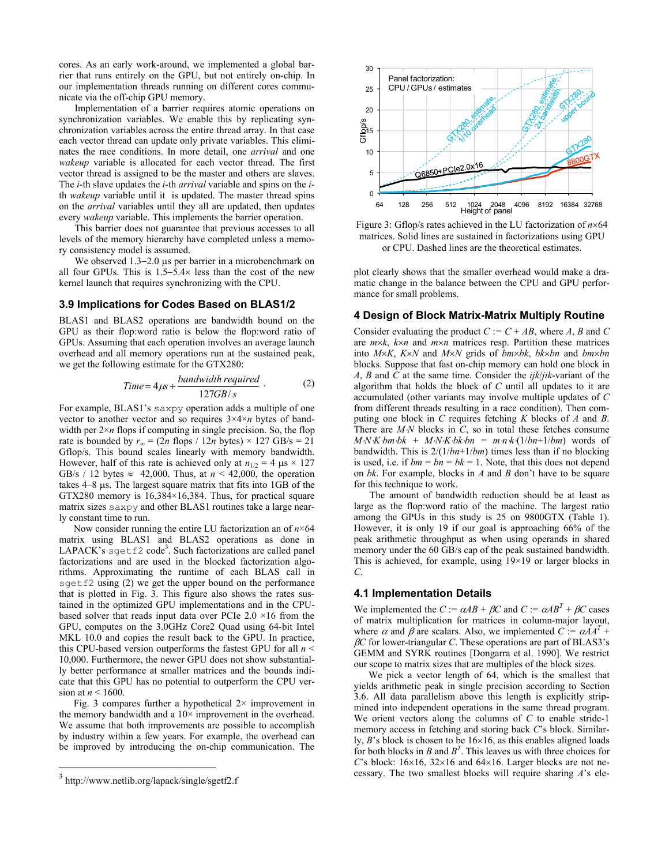cores. As an early work-around, we implemented a global barrier that runs entirely on the GPU, but not entirely on-chip. In our implementation threads running on different cores communicate via the off-chip GPU memory.

Implementation of a barrier requires atomic operations on synchronization variables. We enable this by replicating synchronization variables across the entire thread array. In that case each vector thread can update only private variables. This eliminates the race conditions. In more detail, one *arrival* and one *wakeup* variable is allocated for each vector thread. The first vector thread is assigned to be the master and others are slaves. The *i*-th slave updates the *i*-th *arrival* variable and spins on the *i*th *wakeup* variable until it is updated. The master thread spins on the *arrival* variables until they all are updated, then updates every *wakeup* variable. This implements the barrier operation.

This barrier does not guarantee that previous accesses to all levels of the memory hierarchy have completed unless a memory consistency model is assumed.

We observed  $1.3-2.0 \mu s$  per barrier in a microbenchmark on all four GPUs. This is  $1.5-\overline{5}.4\times$  less than the cost of the new kernel launch that requires synchronizing with the CPU.

## **3.9 Implications for Codes Based on BLAS1/2**

BLAS1 and BLAS2 operations are bandwidth bound on the GPU as their flop:word ratio is below the flop:word ratio of GPUs. Assuming that each operation involves an average launch overhead and all memory operations run at the sustained peak, we get the following estimate for the GTX280:

$$
Time = 4\mu s + \frac{bandwidth\ required}{127GB/s} \tag{2}
$$

For example, BLAS1's saxpy operation adds a multiple of one vector to another vector and so requires 3×4×*n* bytes of bandwidth per  $2 \times n$  flops if computing in single precision. So, the flop rate is bounded by  $r_{\infty} = (2n \text{ flops} / 12n \text{ bytes}) \times 127 \text{ GB/s} = 21$ Gflop/s. This bound scales linearly with memory bandwidth. However, half of this rate is achieved only at  $n_{1/2} = 4 \text{ }\mu\text{s} \times 127$ GB/s / 12 bytes  $\approx$  42,000. Thus, at  $n < 42,000$ , the operation takes  $4-8$   $\mu$ s. The largest square matrix that fits into  $1GB$  of the GTX280 memory is 16,384×16,384. Thus, for practical square matrix sizes saxpy and other BLAS1 routines take a large nearly constant time to run.

Now consider running the entire LU factorization an of *n*×64 matrix using BLAS1 and BLAS2 operations as done in LAPACK's sgetf2 code<sup>3</sup>. Such factorizations are called panel factorizations and are used in the blocked factorization algorithms. Approximating the runtime of each BLAS call in sgetf2 using (2) we get the upper bound on the performance that is plotted in Fig. 3. This figure also shows the rates sustained in the optimized GPU implementations and in the CPUbased solver that reads input data over PCIe  $2.0 \times 16$  from the GPU, computes on the 3.0GHz Core2 Quad using 64-bit Intel MKL 10.0 and copies the result back to the GPU. In practice, this CPU-based version outperforms the fastest GPU for all *n* < 10,000. Furthermore, the newer GPU does not show substantially better performance at smaller matrices and the bounds indicate that this GPU has no potential to outperform the CPU version at  $n \le 1600$ .

Fig. 3 compares further a hypothetical 2× improvement in the memory bandwidth and a  $10\times$  improvement in the overhead. We assume that both improvements are possible to accomplish by industry within a few years. For example, the overhead can be improved by introducing the on-chip communication. The

 $\overline{a}$ 



Figure 3: Gflop/s rates achieved in the LU factorization of  $n \times 64$ matrices. Solid lines are sustained in factorizations using GPU or CPU. Dashed lines are the theoretical estimates.

plot clearly shows that the smaller overhead would make a dramatic change in the balance between the CPU and GPU performance for small problems.

# **4 Design of Block Matrix-Matrix Multiply Routine**

Consider evaluating the product  $C := C + AB$ , where *A*, *B* and *C* are  $m \times k$ ,  $k \times n$  and  $m \times n$  matrices resp. Partition these matrices into  $M \times K$ ,  $K \times N$  and  $M \times N$  grids of  $\bar{b}m \times bk$ ,  $bk \times bn$  and  $bm \times bn$ blocks. Suppose that fast on-chip memory can hold one block in *A*, *B* and *C* at the same time. Consider the *ijk*/*jik*-variant of the algorithm that holds the block of *C* until all updates to it are accumulated (other variants may involve multiple updates of *C* from different threads resulting in a race condition). Then computing one block in *C* requires fetching *K* blocks of *A* and *B*. There are  $M/N$  blocks in  $C$ , so in total these fetches consume  $M \cdot N \cdot K \cdot bm \cdot bk + M \cdot N \cdot K \cdot bk \cdot bn = m \cdot n \cdot k \cdot (1/bn + 1/bm)$  words of bandwidth. This is 2/(1/*bn*+1/*bm*) times less than if no blocking is used, i.e. if  $bm = bn = bk = 1$ . Note, that this does not depend on *bk*. For example, blocks in *A* and *B* don't have to be square for this technique to work.

The amount of bandwidth reduction should be at least as large as the flop:word ratio of the machine. The largest ratio among the GPUs in this study is 25 on 9800GTX (Table 1). However, it is only 19 if our goal is approaching 66% of the peak arithmetic throughput as when using operands in shared memory under the 60 GB/s cap of the peak sustained bandwidth. This is achieved, for example, using 19×19 or larger blocks in *C*.

#### **4.1 Implementation Details**

We implemented the *C* :=  $\alpha AB + \beta C$  and *C* :=  $\alpha AB^T + \beta C$  cases of matrix multiplication for matrices in column-major layout, where  $\alpha$  and  $\beta$  are scalars. Also, we implemented  $C = \alpha A A^T + A^T$  $\beta C$  for lower-triangular *C*. These operations are part of BLAS3's GEMM and SYRK routines [Dongarra et al. 1990]. We restrict our scope to matrix sizes that are multiples of the block sizes.

We pick a vector length of 64, which is the smallest that yields arithmetic peak in single precision according to Section 3.6. All data parallelism above this length is explicitly stripmined into independent operations in the same thread program. We orient vectors along the columns of *C* to enable stride-1 memory access in fetching and storing back *C*'s block. Similarly,  $B$ 's block is chosen to be  $16 \times 16$ , as this enables aligned loads for both blocks in *B* and  $B<sup>T</sup>$ . This leaves us with three choices for *C*'s block:  $16 \times 16$ ,  $32 \times 16$  and  $64 \times 16$ . Larger blocks are not necessary. The two smallest blocks will require sharing *A*'s ele-

<sup>3</sup> http://www.netlib.org/lapack/single/sgetf2.f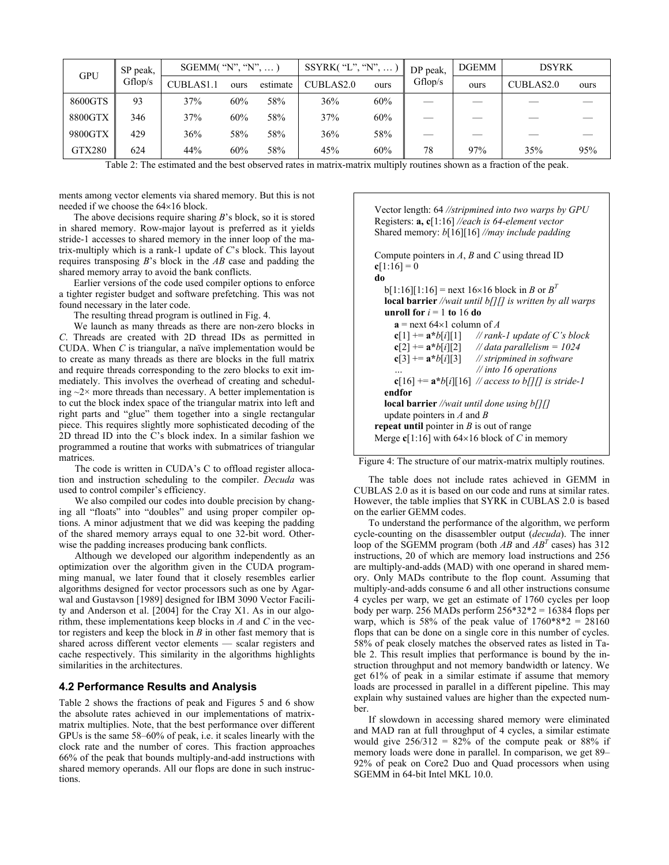| SP peak.<br><b>GPU</b><br>Gflop/s | SGEMM("N", "N",  ) |      | $SSYRK("L", "N", \dots)$ |                       | DP peak, | <b>DGEMM</b> | <b>DSYRK</b> |                       |      |     |
|-----------------------------------|--------------------|------|--------------------------|-----------------------|----------|--------------|--------------|-----------------------|------|-----|
|                                   | CUBLAS1.1          | ours | estimate                 | CUBLAS <sub>2.0</sub> | ours     | Gflop/s      | ours         | CUBLAS <sub>2.0</sub> | ours |     |
| 8600GTS                           | 93                 | 37%  | 60%                      | 58%                   | 36%      | 60%          |              |                       |      |     |
| 8800GTX                           | 346                | 37%  | 60%                      | 58%                   | 37%      | 60%          |              |                       |      |     |
| 9800GTX                           | 429                | 36%  | 58%                      | 58%                   | 36%      | 58%          |              |                       |      |     |
| <b>GTX280</b>                     | 624                | 44%  | 60%                      | 58%                   | 45%      | 60%          | 78           | 97%                   | 35%  | 95% |

Table 2: The estimated and the best observed rates in matrix-matrix multiply routines shown as a fraction of the peak.

ments among vector elements via shared memory. But this is not needed if we choose the  $64\times16$  block.

The above decisions require sharing *B*'s block, so it is stored in shared memory. Row-major layout is preferred as it yields stride-1 accesses to shared memory in the inner loop of the matrix-multiply which is a rank-1 update of *C*'s block. This layout requires transposing *B*'s block in the *AB* case and padding the shared memory array to avoid the bank conflicts.

Earlier versions of the code used compiler options to enforce a tighter register budget and software prefetching. This was not found necessary in the later code.

The resulting thread program is outlined in Fig. 4.

We launch as many threads as there are non-zero blocks in *C*. Threads are created with 2D thread IDs as permitted in CUDA. When *C* is triangular, a naïve implementation would be to create as many threads as there are blocks in the full matrix and require threads corresponding to the zero blocks to exit immediately. This involves the overhead of creating and scheduling  $\sim$ 2 $\times$  more threads than necessary. A better implementation is to cut the block index space of the triangular matrix into left and right parts and "glue" them together into a single rectangular piece. This requires slightly more sophisticated decoding of the 2D thread ID into the C's block index. In a similar fashion we programmed a routine that works with submatrices of triangular matrices.

The code is written in CUDA's C to offload register allocation and instruction scheduling to the compiler. *Decuda* was used to control compiler's efficiency.

We also compiled our codes into double precision by changing all "floats" into "doubles" and using proper compiler options. A minor adjustment that we did was keeping the padding of the shared memory arrays equal to one 32-bit word. Otherwise the padding increases producing bank conflicts.

Although we developed our algorithm independently as an optimization over the algorithm given in the CUDA programming manual, we later found that it closely resembles earlier algorithms designed for vector processors such as one by Agarwal and Gustavson [1989] designed for IBM 3090 Vector Facility and Anderson et al. [2004] for the Cray X1. As in our algorithm, these implementations keep blocks in *A* and *C* in the vector registers and keep the block in *B* in other fast memory that is shared across different vector elements — scalar registers and cache respectively. This similarity in the algorithms highlights similarities in the architectures.

#### **4.2 Performance Results and Analysis**

Table 2 shows the fractions of peak and Figures 5 and 6 show the absolute rates achieved in our implementations of matrixmatrix multiplies. Note, that the best performance over different GPUs is the same 58–60% of peak, i.e. it scales linearly with the clock rate and the number of cores. This fraction approaches 66% of the peak that bounds multiply-and-add instructions with shared memory operands. All our flops are done in such instructions.



Figure 4: The structure of our matrix-matrix multiply routines.

The table does not include rates achieved in GEMM in CUBLAS 2.0 as it is based on our code and runs at similar rates. However, the table implies that SYRK in CUBLAS 2.0 is based on the earlier GEMM codes.

To understand the performance of the algorithm, we perform cycle-counting on the disassembler output (*decuda*). The inner loop of the SGEMM program (both  $AB$  and  $AB<sup>T</sup>$  cases) has 312 instructions, 20 of which are memory load instructions and 256 are multiply-and-adds (MAD) with one operand in shared memory. Only MADs contribute to the flop count. Assuming that multiply-and-adds consume 6 and all other instructions consume 4 cycles per warp, we get an estimate of 1760 cycles per loop body per warp. 256 MADs perform  $256*32*2 = 16384$  flops per warp, which is 58% of the peak value of  $1760*8*2 = 28160$ flops that can be done on a single core in this number of cycles. 58% of peak closely matches the observed rates as listed in Table 2. This result implies that performance is bound by the instruction throughput and not memory bandwidth or latency. We get 61% of peak in a similar estimate if assume that memory loads are processed in parallel in a different pipeline. This may explain why sustained values are higher than the expected number.

If slowdown in accessing shared memory were eliminated and MAD ran at full throughput of 4 cycles, a similar estimate would give  $256/312 = 82\%$  of the compute peak or 88% if memory loads were done in parallel. In comparison, we get 89– 92% of peak on Core2 Duo and Quad processors when using SGEMM in 64-bit Intel MKL 10.0.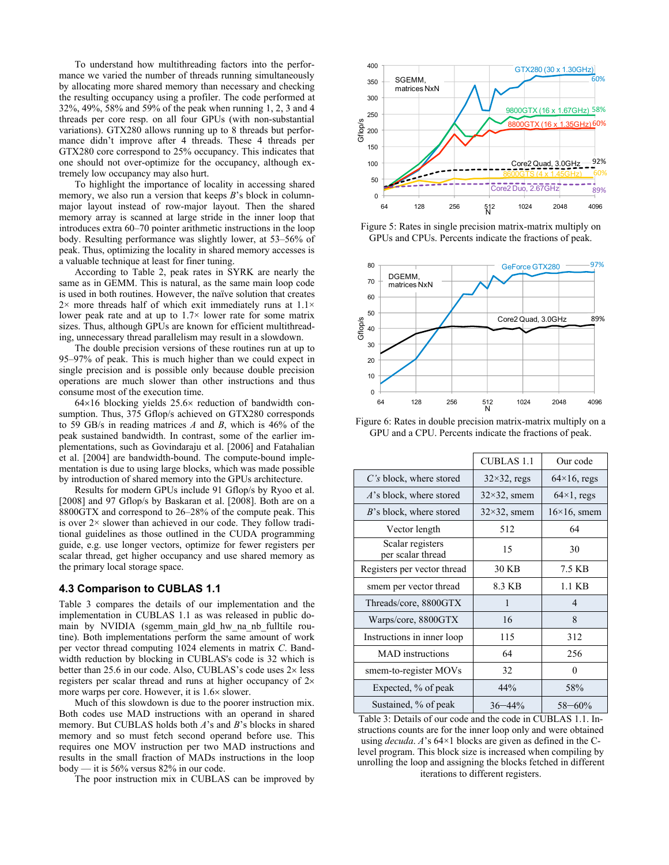To understand how multithreading factors into the performance we varied the number of threads running simultaneously by allocating more shared memory than necessary and checking the resulting occupancy using a profiler. The code performed at 32%, 49%, 58% and 59% of the peak when running 1, 2, 3 and 4 threads per core resp. on all four GPUs (with non-substantial variations). GTX280 allows running up to 8 threads but performance didn't improve after 4 threads. These 4 threads per GTX280 core correspond to 25% occupancy. This indicates that one should not over-optimize for the occupancy, although extremely low occupancy may also hurt.

To highlight the importance of locality in accessing shared memory, we also run a version that keeps *B*'s block in columnmajor layout instead of row-major layout. Then the shared memory array is scanned at large stride in the inner loop that introduces extra 60–70 pointer arithmetic instructions in the loop body. Resulting performance was slightly lower, at 53–56% of peak. Thus, optimizing the locality in shared memory accesses is a valuable technique at least for finer tuning.

According to Table 2, peak rates in SYRK are nearly the same as in GEMM. This is natural, as the same main loop code is used in both routines. However, the naïve solution that creates  $2\times$  more threads half of which exit immediately runs at  $1.1\times$ lower peak rate and at up to 1.7× lower rate for some matrix sizes. Thus, although GPUs are known for efficient multithreading, unnecessary thread parallelism may result in a slowdown.

The double precision versions of these routines run at up to 95–97% of peak. This is much higher than we could expect in single precision and is possible only because double precision operations are much slower than other instructions and thus consume most of the execution time.

 $64 \times 16$  blocking yields  $25.6 \times$  reduction of bandwidth consumption. Thus, 375 Gflop/s achieved on GTX280 corresponds to 59 GB/s in reading matrices *A* and *B*, which is 46% of the peak sustained bandwidth. In contrast, some of the earlier implementations, such as Govindaraju et al. [2006] and Fatahalian et al. [2004] are bandwidth-bound. The compute-bound implementation is due to using large blocks, which was made possible by introduction of shared memory into the GPUs architecture.

Results for modern GPUs include 91 Gflop/s by Ryoo et al. [2008] and 97 Gflop/s by Baskaran et al. [2008]. Both are on a 8800GTX and correspond to 26–28% of the compute peak. This is over  $2 \times$  slower than achieved in our code. They follow traditional guidelines as those outlined in the CUDA programming guide, e.g. use longer vectors, optimize for fewer registers per scalar thread, get higher occupancy and use shared memory as the primary local storage space.

#### **4.3 Comparison to CUBLAS 1.1**

Table 3 compares the details of our implementation and the implementation in CUBLAS 1.1 as was released in public domain by NVIDIA (sgemm\_main\_gld\_hw\_na\_nb\_fulltile routine). Both implementations perform the same amount of work per vector thread computing 1024 elements in matrix *C*. Bandwidth reduction by blocking in CUBLAS's code is 32 which is better than 25.6 in our code. Also, CUBLAS's code uses  $2 \times$  less registers per scalar thread and runs at higher occupancy of  $2 \times$ more warps per core. However, it is  $1.6 \times$  slower.

Much of this slowdown is due to the poorer instruction mix. Both codes use MAD instructions with an operand in shared memory. But CUBLAS holds both *A*'s and *B*'s blocks in shared memory and so must fetch second operand before use. This requires one MOV instruction per two MAD instructions and results in the small fraction of MADs instructions in the loop body — it is 56% versus 82% in our code.

The poor instruction mix in CUBLAS can be improved by



Figure 5: Rates in single precision matrix-matrix multiply on GPUs and CPUs. Percents indicate the fractions of peak.



Figure 6: Rates in double precision matrix-matrix multiply on a GPU and a CPU. Percents indicate the fractions of peak.

|                                       | <b>CUBLAS 1.1</b>   | Our code            |
|---------------------------------------|---------------------|---------------------|
| $C$ 's block, where stored            | $32\times32$ , regs | $64\times16$ , regs |
| A's block, where stored               | $32\times32$ , smem | $64\times1$ , regs  |
| B's block, where stored               | $32\times32$ , smem | $16\times16$ , smem |
| Vector length                         | 512                 | 64                  |
| Scalar registers<br>per scalar thread | 15                  | 30                  |
| Registers per vector thread           | 30 KB               | 7.5 KB              |
| smem per vector thread                | 8.3 KB              | 1.1 KB              |
| Threads/core, 8800GTX                 | 1                   | 4                   |
| Warps/core, 8800GTX                   | 16                  | 8                   |
| Instructions in inner loop            | 115                 | 312                 |
| <b>MAD</b> instructions               | 64                  | 256                 |
| smem-to-register MOVs                 | 32                  | $\theta$            |
| Expected, % of peak                   | 44%                 | 58%                 |
| Sustained, % of peak                  | $36 - 44\%$         | $58 - 60\%$         |

Table 3: Details of our code and the code in CUBLAS 1.1. Instructions counts are for the inner loop only and were obtained using *decuda*. *A*'s 64×1 blocks are given as defined in the Clevel program. This block size is increased when compiling by unrolling the loop and assigning the blocks fetched in different iterations to different registers.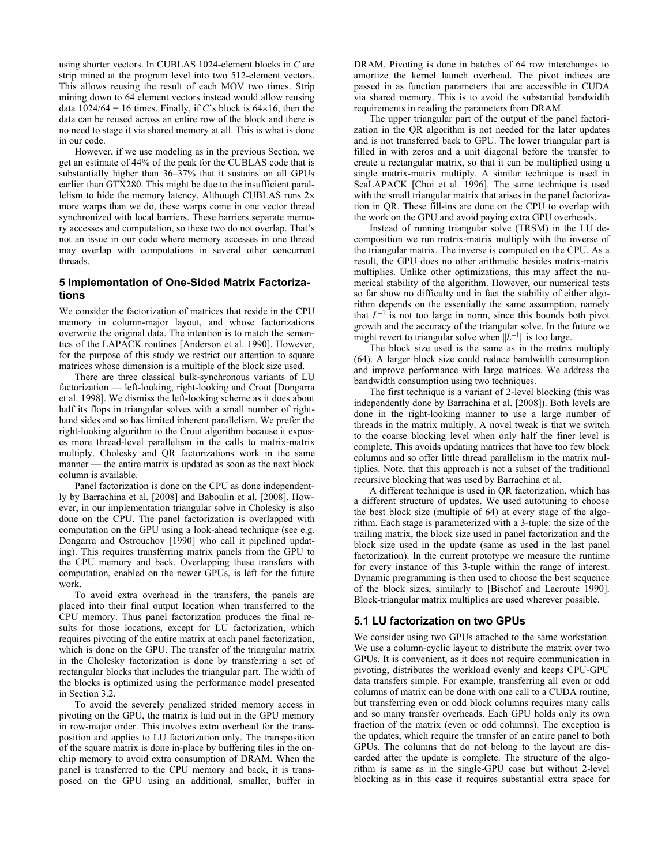using shorter vectors. In CUBLAS 1024-element blocks in *C* are strip mined at the program level into two 512-element vectors. This allows reusing the result of each MOV two times. Strip mining down to 64 element vectors instead would allow reusing data  $1024/64 = 16$  times. Finally, if *C*'s block is  $64 \times 16$ , then the data can be reused across an entire row of the block and there is no need to stage it via shared memory at all. This is what is done in our code.

However, if we use modeling as in the previous Section, we get an estimate of 44% of the peak for the CUBLAS code that is substantially higher than 36–37% that it sustains on all GPUs earlier than GTX280. This might be due to the insufficient parallelism to hide the memory latency. Although CUBLAS runs  $2 \times$ more warps than we do, these warps come in one vector thread synchronized with local barriers. These barriers separate memory accesses and computation, so these two do not overlap. That's not an issue in our code where memory accesses in one thread may overlap with computations in several other concurrent threads.

# **5 Implementation of One-Sided Matrix Factorizations**

We consider the factorization of matrices that reside in the CPU memory in column-major layout, and whose factorizations overwrite the original data. The intention is to match the semantics of the LAPACK routines [Anderson et al. 1990]. However, for the purpose of this study we restrict our attention to square matrices whose dimension is a multiple of the block size used.

There are three classical bulk-synchronous variants of LU factorization — left-looking, right-looking and Crout [Dongarra et al. 1998]. We dismiss the left-looking scheme as it does about half its flops in triangular solves with a small number of righthand sides and so has limited inherent parallelism. We prefer the right-looking algorithm to the Crout algorithm because it exposes more thread-level parallelism in the calls to matrix-matrix multiply. Cholesky and QR factorizations work in the same manner — the entire matrix is updated as soon as the next block column is available.

Panel factorization is done on the CPU as done independently by Barrachina et al. [2008] and Baboulin et al. [2008]. However, in our implementation triangular solve in Cholesky is also done on the CPU. The panel factorization is overlapped with computation on the GPU using a look-ahead technique (see e.g. Dongarra and Ostrouchov [1990] who call it pipelined updating). This requires transferring matrix panels from the GPU to the CPU memory and back. Overlapping these transfers with computation, enabled on the newer GPUs, is left for the future work.

To avoid extra overhead in the transfers, the panels are placed into their final output location when transferred to the CPU memory. Thus panel factorization produces the final results for those locations, except for LU factorization, which requires pivoting of the entire matrix at each panel factorization, which is done on the GPU. The transfer of the triangular matrix in the Cholesky factorization is done by transferring a set of rectangular blocks that includes the triangular part. The width of the blocks is optimized using the performance model presented in Section 3.2.

To avoid the severely penalized strided memory access in pivoting on the GPU, the matrix is laid out in the GPU memory in row-major order. This involves extra overhead for the transposition and applies to LU factorization only. The transposition of the square matrix is done in-place by buffering tiles in the onchip memory to avoid extra consumption of DRAM. When the panel is transferred to the CPU memory and back, it is transposed on the GPU using an additional, smaller, buffer in DRAM. Pivoting is done in batches of 64 row interchanges to amortize the kernel launch overhead. The pivot indices are passed in as function parameters that are accessible in CUDA via shared memory. This is to avoid the substantial bandwidth requirements in reading the parameters from DRAM.

The upper triangular part of the output of the panel factorization in the QR algorithm is not needed for the later updates and is not transferred back to GPU. The lower triangular part is filled in with zeros and a unit diagonal before the transfer to create a rectangular matrix, so that it can be multiplied using a single matrix-matrix multiply. A similar technique is used in ScaLAPACK [Choi et al. 1996]. The same technique is used with the small triangular matrix that arises in the panel factorization in QR. These fill-ins are done on the CPU to overlap with the work on the GPU and avoid paying extra GPU overheads.

Instead of running triangular solve (TRSM) in the LU decomposition we run matrix-matrix multiply with the inverse of the triangular matrix. The inverse is computed on the CPU. As a result, the GPU does no other arithmetic besides matrix-matrix multiplies. Unlike other optimizations, this may affect the numerical stability of the algorithm. However, our numerical tests so far show no difficulty and in fact the stability of either algorithm depends on the essentially the same assumption, namely that  $L^{-1}$  is not too large in norm, since this bounds both pivot growth and the accuracy of the triangular solve. In the future we might revert to triangular solve when  $||L^{-1}||$  is too large.

The block size used is the same as in the matrix multiply (64). A larger block size could reduce bandwidth consumption and improve performance with large matrices. We address the bandwidth consumption using two techniques.

The first technique is a variant of 2-level blocking (this was independently done by Barrachina et al. [2008]). Both levels are done in the right-looking manner to use a large number of threads in the matrix multiply. A novel tweak is that we switch to the coarse blocking level when only half the finer level is complete. This avoids updating matrices that have too few block columns and so offer little thread parallelism in the matrix multiplies. Note, that this approach is not a subset of the traditional recursive blocking that was used by Barrachina et al.

A different technique is used in QR factorization, which has a different structure of updates. We used autotuning to choose the best block size (multiple of 64) at every stage of the algorithm. Each stage is parameterized with a 3-tuple: the size of the trailing matrix, the block size used in panel factorization and the block size used in the update (same as used in the last panel factorization). In the current prototype we measure the runtime for every instance of this 3-tuple within the range of interest. Dynamic programming is then used to choose the best sequence of the block sizes, similarly to [Bischof and Lacroute 1990]. Block-triangular matrix multiplies are used wherever possible.

# **5.1 LU factorization on two GPUs**

We consider using two GPUs attached to the same workstation. We use a column-cyclic layout to distribute the matrix over two GPUs. It is convenient, as it does not require communication in pivoting, distributes the workload evenly and keeps CPU-GPU data transfers simple. For example, transferring all even or odd columns of matrix can be done with one call to a CUDA routine, but transferring even or odd block columns requires many calls and so many transfer overheads. Each GPU holds only its own fraction of the matrix (even or odd columns). The exception is the updates, which require the transfer of an entire panel to both GPUs. The columns that do not belong to the layout are discarded after the update is complete. The structure of the algorithm is same as in the single-GPU case but without 2-level blocking as in this case it requires substantial extra space for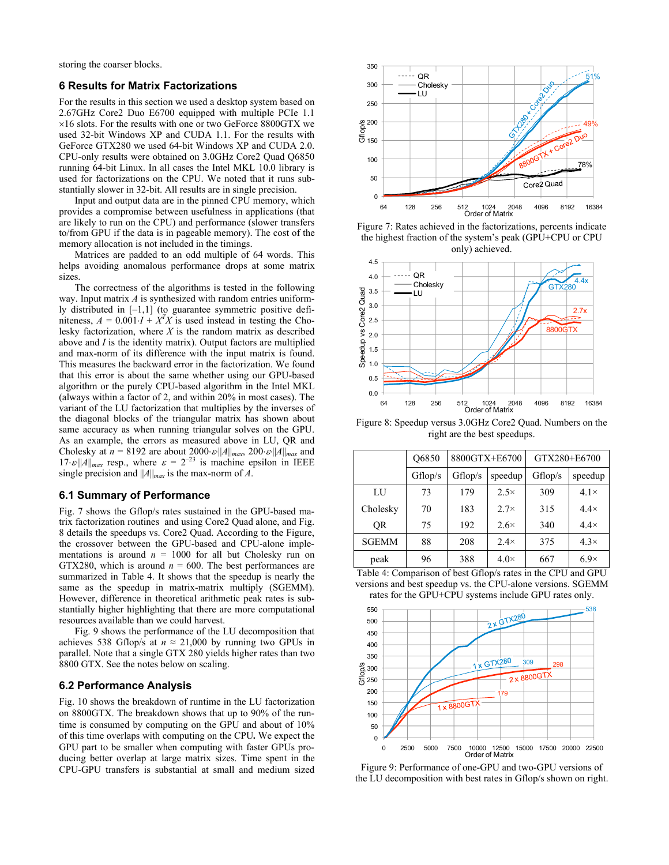storing the coarser blocks.

#### **6 Results for Matrix Factorizations**

For the results in this section we used a desktop system based on 2.67GHz Core2 Duo E6700 equipped with multiple PCIe 1.1  $\times$ 16 slots. For the results with one or two GeForce 8800GTX we used 32-bit Windows XP and CUDA 1.1. For the results with GeForce GTX280 we used 64-bit Windows XP and CUDA 2.0. CPU-only results were obtained on 3.0GHz Core2 Quad Q6850 running 64-bit Linux. In all cases the Intel MKL 10.0 library is used for factorizations on the CPU. We noted that it runs substantially slower in 32-bit. All results are in single precision.

Input and output data are in the pinned CPU memory, which provides a compromise between usefulness in applications (that are likely to run on the CPU) and performance (slower transfers to/from GPU if the data is in pageable memory). The cost of the memory allocation is not included in the timings.

Matrices are padded to an odd multiple of 64 words. This helps avoiding anomalous performance drops at some matrix sizes.

The correctness of the algorithms is tested in the following way. Input matrix *A* is synthesized with random entries uniformly distributed in [–1,1] (to guarantee symmetric positive definiteness,  $A = 0.001 \cdot I + \dot{X}^T \dot{X}$  is used instead in testing the Cholesky factorization, where  $X$  is the random matrix as described above and *I* is the identity matrix). Output factors are multiplied and max-norm of its difference with the input matrix is found. This measures the backward error in the factorization. We found that this error is about the same whether using our GPU-based algorithm or the purely CPU-based algorithm in the Intel MKL (always within a factor of 2, and within 20% in most cases). The variant of the LU factorization that multiplies by the inverses of the diagonal blocks of the triangular matrix has shown about same accuracy as when running triangular solves on the GPU. As an example, the errors as measured above in LU, QR and Cholesky at  $n = 8192$  are about  $2000 \cdot \varepsilon ||A||_{max}$ ,  $200 \cdot \varepsilon ||A||_{max}$  and  $17 \cdot \varepsilon ||A||_{max}$  resp., where  $\varepsilon = 2^{-23}$  is machine epsilon in IEEE single precision and ||*A*||*max* is the max-norm of *A*.

#### **6.1 Summary of Performance**

Fig. 7 shows the Gflop/s rates sustained in the GPU-based matrix factorization routines and using Core2 Quad alone, and Fig. 8 details the speedups vs. Core2 Quad. According to the Figure, the crossover between the GPU-based and CPU-alone implementations is around  $n = 1000$  for all but Cholesky run on GTX280, which is around  $n = 600$ . The best performances are summarized in Table 4. It shows that the speedup is nearly the same as the speedup in matrix-matrix multiply (SGEMM). However, difference in theoretical arithmetic peak rates is substantially higher highlighting that there are more computational resources available than we could harvest.

Fig. 9 shows the performance of the LU decomposition that achieves 538 Gflop/s at  $n \approx 21,000$  by running two GPUs in parallel. Note that a single GTX 280 yields higher rates than two 8800 GTX. See the notes below on scaling.

#### **6.2 Performance Analysis**

Fig. 10 shows the breakdown of runtime in the LU factorization on 8800GTX. The breakdown shows that up to 90% of the runtime is consumed by computing on the GPU and about of 10% of this time overlaps with computing on the CPU**.** We expect the GPU part to be smaller when computing with faster GPUs producing better overlap at large matrix sizes. Time spent in the CPU-GPU transfers is substantial at small and medium sized



Figure 7: Rates achieved in the factorizations, percents indicate the highest fraction of the system's peak (GPU+CPU or CPU only) achieved.



Figure 8: Speedup versus 3.0GHz Core2 Quad. Numbers on the right are the best speedups.

|              | O6850   | 8800GTX+E6700 |             | GTX280+E6700 |             |  |  |  |
|--------------|---------|---------------|-------------|--------------|-------------|--|--|--|
|              | Gflop/s | Gflop/s       | speedup     | Gflop/s      | speedup     |  |  |  |
| LU           | 73      | 179           | $2.5\times$ | 309          | $4.1\times$ |  |  |  |
| Cholesky     | 70      | 183           | $2.7\times$ | 315          | $4.4\times$ |  |  |  |
| <b>OR</b>    | 75      | 192           | $2.6\times$ | 340          | $4.4\times$ |  |  |  |
| <b>SGEMM</b> | 88      | 208           | $2.4\times$ | 375          | $4.3\times$ |  |  |  |
| peak         | 96      | 388           | $4.0\times$ | 667          | $6.9\times$ |  |  |  |

Table 4: Comparison of best Gflop/s rates in the CPU and GPU versions and best speedup vs. the CPU-alone versions. SGEMM rates for the GPU+CPU systems include GPU rates only.



Figure 9: Performance of one-GPU and two-GPU versions of the LU decomposition with best rates in Gflop/s shown on right.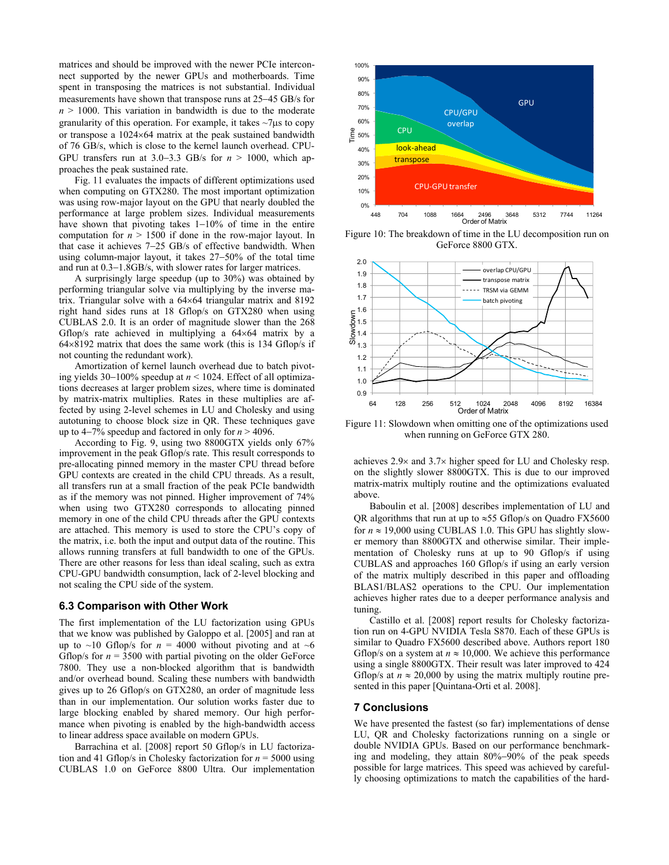matrices and should be improved with the newer PCIe interconnect supported by the newer GPUs and motherboards. Time spent in transposing the matrices is not substantial. Individual measurements have shown that transpose runs at 25–45 GB/s for  $n > 1000$ . This variation in bandwidth is due to the moderate granularity of this operation. For example, it takes  $\sim$ 7 $\mu$ s to copy or transpose a  $1024 \times 64$  matrix at the peak sustained bandwidth of 76 GB/s, which is close to the kernel launch overhead. CPU-GPU transfers run at  $3.0-3.3$  GB/s for  $n > 1000$ , which approaches the peak sustained rate.

Fig. 11 evaluates the impacts of different optimizations used when computing on GTX280. The most important optimization was using row-major layout on the GPU that nearly doubled the performance at large problem sizes. Individual measurements have shown that pivoting takes  $1-10\%$  of time in the entire computation for  $n > 1500$  if done in the row-major layout. In that case it achieves  $7-25$  GB/s of effective bandwidth. When using column-major layout, it takes  $27-50\%$  of the total time and run at  $0.3-1.8GB/s$ , with slower rates for larger matrices.

A surprisingly large speedup (up to 30%) was obtained by performing triangular solve via multiplying by the inverse matrix. Triangular solve with a  $64 \times 64$  triangular matrix and 8192 right hand sides runs at 18 Gflop/s on GTX280 when using CUBLAS 2.0. It is an order of magnitude slower than the 268 Gflop/s rate achieved in multiplying a  $64 \times 64$  matrix by a  $64 \times 8192$  matrix that does the same work (this is 134 Gflop/s if not counting the redundant work).

Amortization of kernel launch overhead due to batch pivoting yields  $30-100\%$  speedup at  $n < 1024$ . Effect of all optimizations decreases at larger problem sizes, where time is dominated by matrix-matrix multiplies. Rates in these multiplies are affected by using 2-level schemes in LU and Cholesky and using autotuning to choose block size in QR. These techniques gave up to  $4-7\%$  speedup and factored in only for  $n > 4096$ .

According to Fig. 9, using two 8800GTX yields only 67% improvement in the peak Gflop/s rate. This result corresponds to pre-allocating pinned memory in the master CPU thread before GPU contexts are created in the child CPU threads. As a result, all transfers run at a small fraction of the peak PCIe bandwidth as if the memory was not pinned. Higher improvement of 74% when using two GTX280 corresponds to allocating pinned memory in one of the child CPU threads after the GPU contexts are attached. This memory is used to store the CPU's copy of the matrix, i.e. both the input and output data of the routine. This allows running transfers at full bandwidth to one of the GPUs. There are other reasons for less than ideal scaling, such as extra CPU-GPU bandwidth consumption, lack of 2-level blocking and not scaling the CPU side of the system.

## **6.3 Comparison with Other Work**

The first implementation of the LU factorization using GPUs that we know was published by Galoppo et al. [2005] and ran at up to  $\sim$ 10 Gflop/s for  $n = 4000$  without pivoting and at  $\sim$ 6 Gflop/s for  $n = 3500$  with partial pivoting on the older GeForce 7800. They use a non-blocked algorithm that is bandwidth and/or overhead bound. Scaling these numbers with bandwidth gives up to 26 Gflop/s on GTX280, an order of magnitude less than in our implementation. Our solution works faster due to large blocking enabled by shared memory. Our high performance when pivoting is enabled by the high-bandwidth access to linear address space available on modern GPUs.

Barrachina et al. [2008] report 50 Gflop/s in LU factorization and 41 Gflop/s in Cholesky factorization for *n* = 5000 using CUBLAS 1.0 on GeForce 8800 Ultra. Our implementation



Figure 10: The breakdown of time in the LU decomposition run on GeForce 8800 GTX.



Figure 11: Slowdown when omitting one of the optimizations used when running on GeForce GTX 280.

achieves  $2.9 \times$  and  $3.7 \times$  higher speed for LU and Cholesky resp. on the slightly slower 8800GTX. This is due to our improved matrix-matrix multiply routine and the optimizations evaluated above.

Baboulin et al. [2008] describes implementation of LU and QR algorithms that run at up to  $\approx$  55 Gflop/s on Quadro FX5600 for  $n \approx 19,000$  using CUBLAS 1.0. This GPU has slightly slower memory than 8800GTX and otherwise similar. Their implementation of Cholesky runs at up to 90 Gflop/s if using CUBLAS and approaches 160 Gflop/s if using an early version of the matrix multiply described in this paper and offloading BLAS1/BLAS2 operations to the CPU. Our implementation achieves higher rates due to a deeper performance analysis and tuning.

Castillo et al. [2008] report results for Cholesky factorization run on 4-GPU NVIDIA Tesla S870. Each of these GPUs is similar to Quadro FX5600 described above. Authors report 180 Gflop/s on a system at  $n \approx 10,000$ . We achieve this performance using a single 8800GTX. Their result was later improved to 424 Gflop/s at  $n \approx 20,000$  by using the matrix multiply routine presented in this paper [Quintana-Orti et al. 2008].

#### **7 Conclusions**

We have presented the fastest (so far) implementations of dense LU, QR and Cholesky factorizations running on a single or double NVIDIA GPUs. Based on our performance benchmarking and modeling, they attain 80%-90% of the peak speeds possible for large matrices. This speed was achieved by carefully choosing optimizations to match the capabilities of the hard